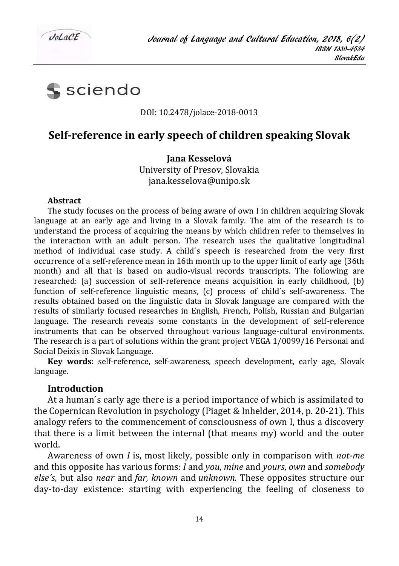

sciendo

#### DOI: 10.2478/jolace-2018-0013

# **Self-reference in early speech of children speaking Slovak**

**Jana Kesselová**

University of Presov, Slovakia jana.kesselova@unipo.sk

#### **Abstract**

The study focuses on the process of being aware of own I in children acquiring Slovak language at an early age and living in a Slovak family. The aim of the research is to understand the process of acquiring the means by which children refer to themselves in the interaction with an adult person. The research uses the qualitative longitudinal method of individual case study. A child´s speech is researched from the very first occurrence of a self-reference mean in 16th month up to the upper limit of early age (36th month) and all that is based on audio-visual records transcripts. The following are researched: (a) succession of self-reference means acquisition in early childhood, (b) function of self-reference linguistic means, (c) process of child´s self-awareness. The results obtained based on the linguistic data in Slovak language are compared with the results of similarly focused researches in English, French, Polish, Russian and Bulgarian language. The research reveals some constants in the development of self-reference instruments that can be observed throughout various language-cultural environments. The research is a part of solutions within the grant project VEGA 1/0099/16 Personal and Social Deixis in Slovak Language.

**Key words**: self-reference, self-awareness, speech development, early age, Slovak language.

#### **Introduction**

At a human´s early age there is a period importance of which is assimilated to the Copernican Revolution in psychology (Piaget & Inhelder, 2014, p. 20-21). This analogy refers to the commencement of consciousness of own I, thus a discovery that there is a limit between the internal (that means my) world and the outer world.

Awareness of own *I* is, most likely, possible only in comparison with *not-me* and this opposite has various forms: *I* and *you*, *mine* and *yours*, *own* and *somebody else´s,* but also *near* and *far, known* and *unknown.* These opposites structure our day-to-day existence: starting with experiencing the feeling of closeness to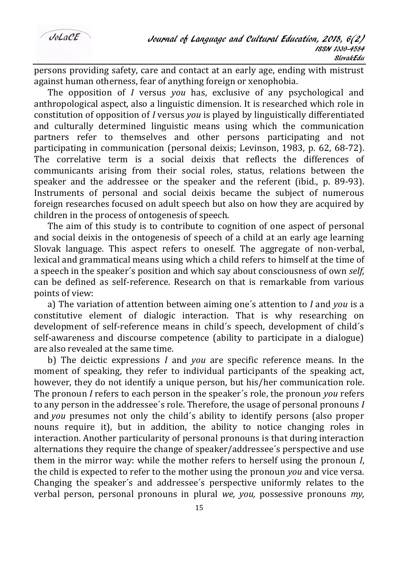$Jol$   $o$ CF

persons providing safety, care and contact at an early age, ending with mistrust against human otherness, fear of anything foreign or xenophobia.

The opposition of *I* versus *you* has, exclusive of any psychological and anthropological aspect, also a linguistic dimension. It is researched which role in constitution of opposition of *I* versus *you* is played by linguistically differentiated and culturally determined linguistic means using which the communication partners refer to themselves and other persons participating and not participating in communication (personal deixis; Levinson, 1983, p. 62, 68-72). The correlative term is a social deixis that reflects the differences of communicants arising from their social roles, status, relations between the speaker and the addressee or the speaker and the referent (ibid., p. 89-93). Instruments of personal and social deixis became the subject of numerous foreign researches focused on adult speech but also on how they are acquired by children in the process of ontogenesis of speech.

The aim of this study is to contribute to cognition of one aspect of personal and social deixis in the ontogenesis of speech of a child at an early age learning Slovak language. This aspect refers to oneself. The aggregate of non-verbal, lexical and grammatical means using which a child refers to himself at the time of a speech in the speaker´s position and which say about consciousness of own *self,*  can be defined as self-reference. Research on that is remarkable from various points of view:

a) The variation of attention between aiming one´s attention to *I* and *you* is a constitutive element of dialogic interaction. That is why researching on development of self-reference means in child´s speech, development of child´s self-awareness and discourse competence (ability to participate in a dialogue) are also revealed at the same time.

b) The deictic expressions *I* and *you* are specific reference means. In the moment of speaking, they refer to individual participants of the speaking act, however, they do not identify a unique person, but his/her communication role. The pronoun *I* refers to each person in the speaker´s role, the pronoun *you* refers to any person in the addressee´s role. Therefore, the usage of personal pronouns *I* and *you* presumes not only the child´s ability to identify persons (also proper nouns require it), but in addition, the ability to notice changing roles in interaction. Another particularity of personal pronouns is that during interaction alternations they require the change of speaker/addressee´s perspective and use them in the mirror way: while the mother refers to herself using the pronoun *I*, the child is expected to refer to the mother using the pronoun *you* and vice versa*.*  Changing the speaker´s and addressee´s perspective uniformly relates to the verbal person, personal pronouns in plural *we, you,* possessive pronouns *my,*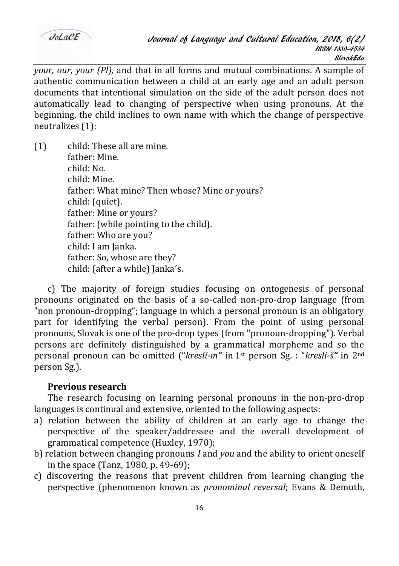*your, our, your (Pl),* and that in all forms and mutual combinations. A sample of authentic communication between a child at an early age and an adult person documents that intentional simulation on the side of the adult person does not automatically lead to changing of perspective when using pronouns. At the beginning, the child inclines to own name with which the change of perspective neutralizes (1):

(1) child: These all are mine. father: Mine. child: No. child: Mine. father: What mine? Then whose? Mine or yours? child: (quiet). father: Mine or yours? father: (while pointing to the child). father: Who are you? child: I am Janka. father: So, whose are they? child: (after a while) Janka´s.

c) The majority of foreign studies focusing on ontogenesis of personal pronouns originated on the basis of a so-called non-pro-drop language (from "non pronoun-dropping"; language in which a personal pronoun is an obligatory part for identifying the verbal person). From the point of using personal pronouns, Slovak is one of the pro-drop types (from "pronoun-dropping"). Verbal persons are definitely distinguished by a grammatical morpheme and so the personal pronoun can be omitted ("*kreslí-m"* in 1st person Sg. : "*kreslí-š"* in 2nd person Sg.).

### **Previous research**

The research focusing on learning personal pronouns in the non-pro-drop languages is continual and extensive, oriented to the following aspects:

- a) relation between the ability of children at an early age to change the perspective of the speaker/addressee and the overall development of grammatical competence (Huxley, 1970);
- b) relation between changing pronouns *I* and *you* and the ability to orient oneself in the space (Tanz, 1980, p. 49-69);
- c) discovering the reasons that prevent children from learning changing the perspective (phenomenon known as *pronominal reversal*; Evans & Demuth,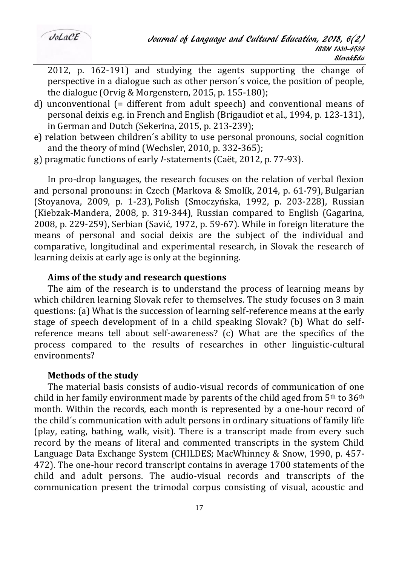2012, p. 162-191) and studying the agents supporting the change of perspective in a dialogue such as other person´s voice, the position of people, the dialogue (Orvig & Morgenstern, 2015, p. 155-180);

- d) unconventional (= different from adult speech) and conventional means of personal deixis e.g. in French and English (Brigaudiot et al., 1994, p. 123-131), in German and Dutch (Sekerina, 2015, p. 213-239);
- e) relation between children´s ability to use personal pronouns, social cognition and the theory of mind (Wechsler, 2010, p. 332-365);
- g) pragmatic functions of early *I*-statements (Caët, 2012, p. 77-93).

In pro-drop languages, the research focuses on the relation of verbal flexion and personal pronouns: in Czech (Markova & Smolík, 2014, p. 61-79), Bulgarian (Stoyanova, 2009, p. 1-23), Polish (Smoczyńska, 1992, p. 203-228), Russian (Kiebzak-Mandera, 2008, p. 319-344), Russian compared to English (Gagarina, 2008, p. 229-259), Serbian (Savić, 1972, p. 59-67). While in foreign literature the means of personal and social deixis are the subject of the individual and comparative, longitudinal and experimental research, in Slovak the research of learning deixis at early age is only at the beginning.

#### **Aims of the study and research questions**

The aim of the research is to understand the process of learning means by which children learning Slovak refer to themselves. The study focuses on 3 main questions: (a) What is the succession of learning self-reference means at the early stage of speech development of in a child speaking Slovak? (b) What do selfreference means tell about self-awareness? (c) What are the specifics of the process compared to the results of researches in other linguistic-cultural environments?

### **Methods of the study**

The material basis consists of audio-visual records of communication of one child in her family environment made by parents of the child aged from  $5<sup>th</sup>$  to  $36<sup>th</sup>$ month. Within the records, each month is represented by a one-hour record of the child´s communication with adult persons in ordinary situations of family life (play, eating, bathing, walk, visit). There is a transcript made from every such record by the means of literal and commented transcripts in the system Child Language Data Exchange System (CHILDES; MacWhinney & Snow, 1990, p. 457- 472). The one-hour record transcript contains in average 1700 statements of the child and adult persons. The audio-visual records and transcripts of the communication present the trimodal corpus consisting of visual, acoustic and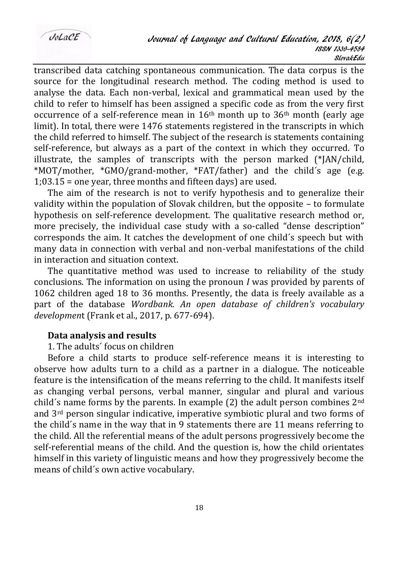transcribed data catching spontaneous communication. The data corpus is the source for the longitudinal research method. The coding method is used to analyse the data. Each non-verbal, lexical and grammatical mean used by the child to refer to himself has been assigned a specific code as from the very first occurrence of a self-reference mean in  $16<sup>th</sup>$  month up to  $36<sup>th</sup>$  month (early age limit). In total, there were 1476 statements registered in the transcripts in which the child referred to himself. The subject of the research is statements containing self-reference, but always as a part of the context in which they occurred. To illustrate, the samples of transcripts with the person marked  $(*|AN/c$ hild, \*MOT/mother, \*GMO/grand-mother, \*FAT/father) and the child´s age (e.g. 1;03.15 = one year, three months and fifteen days) are used.

The aim of the research is not to verify hypothesis and to generalize their validity within the population of Slovak children, but the opposite – to formulate hypothesis on self-reference development. The qualitative research method or, more precisely, the individual case study with a so-called "dense description" corresponds the aim. It catches the development of one child´s speech but with many data in connection with verbal and non-verbal manifestations of the child in interaction and situation context.

The quantitative method was used to increase to reliability of the study conclusions. The information on using the pronoun *I* was provided by parents of 1062 children aged 18 to 36 months. Presently, the data is freely available as a part of the database *Wordbank. An open database of children's vocabulary developmen*t (Frank et al., 2017, p. 677-694).

### **Data analysis and results**

### 1. The adults´ focus on children

Before a child starts to produce self-reference means it is interesting to observe how adults turn to a child as a partner in a dialogue. The noticeable feature is the intensification of the means referring to the child. It manifests itself as changing verbal persons, verbal manner, singular and plural and various child's name forms by the parents. In example  $(2)$  the adult person combines  $2<sup>nd</sup>$ and 3rd person singular indicative, imperative symbiotic plural and two forms of the child´s name in the way that in 9 statements there are 11 means referring to the child. All the referential means of the adult persons progressively become the self-referential means of the child. And the question is, how the child orientates himself in this variety of linguistic means and how they progressively become the means of child´s own active vocabulary.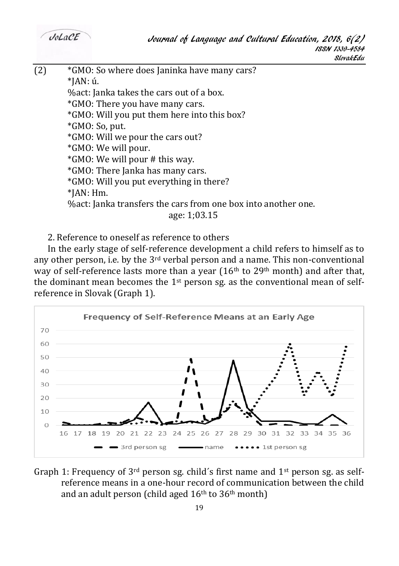$Jol_0CE$ 

 $(2)$  \*GMO: So where does Janinka have many cars?  $*IAN:$  ú. %act: Janka takes the cars out of a box. \*GMO: There you have many cars. \*GMO: Will you put them here into this box? \*GMO: So, put. \*GMO: Will we pour the cars out? \*GMO: We will pour. \*GMO: We will pour # this way. \*GMO: There Janka has many cars. \*GMO: Will you put everything in there? \*JAN: Hm. %act: Janka transfers the cars from one box into another one. age: 1;03.15

2. Reference to oneself as reference to others

In the early stage of self-reference development a child refers to himself as to any other person, i.e. by the  $3<sup>rd</sup>$  verbal person and a name. This non-conventional way of self-reference lasts more than a year  $(16<sup>th</sup>$  to 29<sup>th</sup> month) and after that, the dominant mean becomes the  $1<sup>st</sup>$  person sg. as the conventional mean of selfreference in Slovak (Graph 1).



Graph 1: Frequency of  $3<sup>rd</sup>$  person sg. child's first name and  $1<sup>st</sup>$  person sg. as selfreference means in a one-hour record of communication between the child and an adult person (child aged  $16<sup>th</sup>$  to  $36<sup>th</sup>$  month)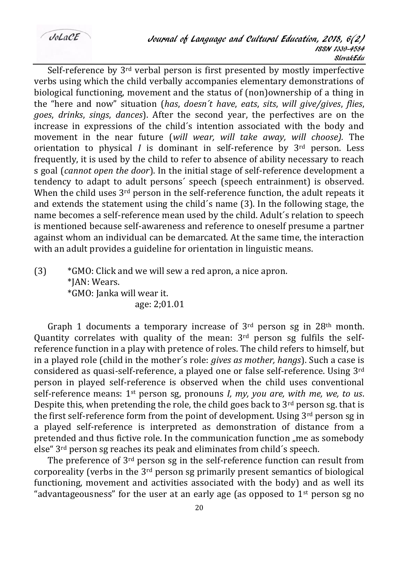$Jol. aCE$ 

Self-reference by 3rd verbal person is first presented by mostly imperfective verbs using which the child verbally accompanies elementary demonstrations of biological functioning, movement and the status of (non)ownership of a thing in the "here and now" situation (*has*, *doesn´t have*, *eats*, *sits*, *will give/gives*, *flies*, *goes*, *drinks*, *sings*, *dances*). After the second year, the perfectives are on the increase in expressions of the child´s intention associated with the body and movement in the near future (*will wear, will take away, will choose).* The orientation to physical *I* is dominant in self-reference by 3rd person. Less frequently, it is used by the child to refer to absence of ability necessary to reach s goal (*cannot open the door*). In the initial stage of self-reference development a tendency to adapt to adult persons´ speech (speech entrainment) is observed. When the child uses  $3<sup>rd</sup>$  person in the self-reference function, the adult repeats it and extends the statement using the child´s name (3). In the following stage, the name becomes a self-reference mean used by the child. Adult´s relation to speech is mentioned because self-awareness and reference to oneself presume a partner against whom an individual can be demarcated. At the same time, the interaction with an adult provides a guideline for orientation in linguistic means.

(3) \*GMO: Click and we will sew a red apron, a nice apron. \*JAN: Wears. \*GMO: Janka will wear it. age: 2;01.01

Graph 1 documents a temporary increase of  $3<sup>rd</sup>$  person sg in 28<sup>th</sup> month. Quantity correlates with quality of the mean:  $3<sup>rd</sup>$  person sg fulfils the selfreference function in a play with pretence of roles. The child refers to himself, but in a played role (child in the mother´s role: *gives as mother, hangs*). Such a case is considered as quasi-self-reference, a played one or false self-reference. Using 3rd person in played self-reference is observed when the child uses conventional self-reference means: 1st person sg, pronouns *I, my, you are, with me, we, to us*. Despite this, when pretending the role, the child goes back to  $3<sup>rd</sup>$  person sg. that is the first self-reference form from the point of development. Using  $3<sup>rd</sup>$  person sg in a played self-reference is interpreted as demonstration of distance from a pretended and thus fictive role. In the communication function "me as somebody else" 3rd person sg reaches its peak and eliminates from child´s speech.

The preference of 3rd person sg in the self-reference function can result from corporeality (verbs in the  $3<sup>rd</sup>$  person sg primarily present semantics of biological functioning, movement and activities associated with the body) and as well its "advantageousness" for the user at an early age (as opposed to  $1<sup>st</sup>$  person sg no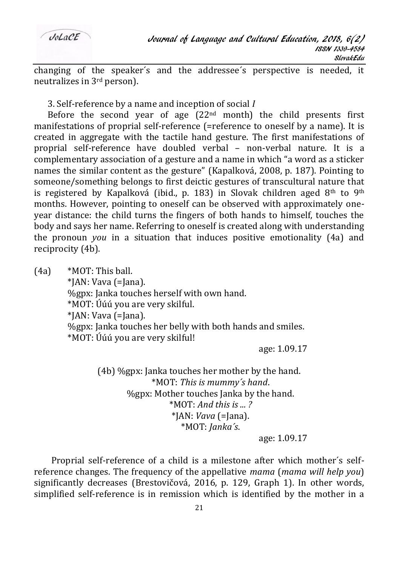

changing of the speaker´s and the addressee´s perspective is needed, it neutralizes in 3rd person).

3. Self-reference by a name and inception of social *I*

Before the second year of age  $(22<sup>nd</sup>$  month) the child presents first manifestations of proprial self-reference (=reference to oneself by a name). It is created in aggregate with the tactile hand gesture. The first manifestations of proprial self-reference have doubled verbal – non-verbal nature. It is a complementary association of a gesture and a name in which "a word as a sticker names the similar content as the gesture" (Kapalková, 2008, p. 187). Pointing to someone/something belongs to first deictic gestures of transcultural nature that is registered by Kapalková (ibid., p. 183) in Slovak children aged 8<sup>th</sup> to 9<sup>th</sup> months. However, pointing to oneself can be observed with approximately oneyear distance: the child turns the fingers of both hands to himself, touches the body and says her name. Referring to oneself is created along with understanding the pronoun *you* in a situation that induces positive emotionality (4a) and reciprocity (4b).

(4a) \*MOT: This ball. \*JAN: Vava (=Jana). %gpx: Janka touches herself with own hand. \*MOT: Úúú you are very skilful. \*JAN: Vava (=Jana). %gpx: Janka touches her belly with both hands and smiles. \*MOT: Úúú you are very skilful!

age: 1.09.17

(4b) %gpx: Janka touches her mother by the hand. \*MOT: *This is mummy´s hand*. %gpx: Mother touches Janka by the hand. \*MOT: *And this is ... ?* \*JAN: *Vava* (=Jana). \*MOT: *Janka´s*.

age: 1.09.17

Proprial self-reference of a child is a milestone after which mother´s selfreference changes. The frequency of the appellative *mama* (*mama will help you*) significantly decreases (Brestovičová, 2016, p. 129, Graph 1). In other words, simplified self-reference is in remission which is identified by the mother in a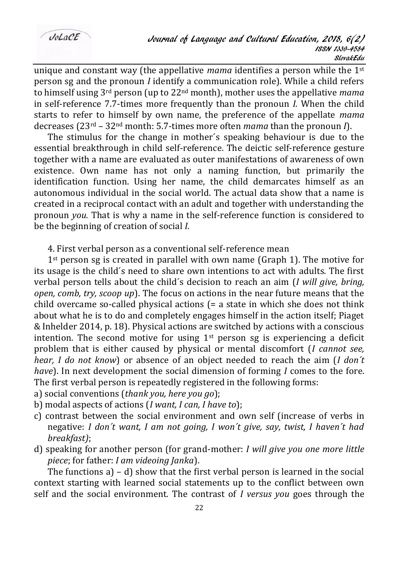unique and constant way (the appellative *mama* identifies a person while the 1st person sg and the pronoun *I* identify a communication role). While a child refers to himself using 3rd person (up to 22nd month), mother uses the appellative *mama*  in self-reference 7.7-times more frequently than the pronoun *I.* When the child starts to refer to himself by own name, the preference of the appellate *mama*  decreases (23rd – 32nd month: 5.7-times more often *mama* than the pronoun *I*).

The stimulus for the change in mother´s speaking behaviour is due to the essential breakthrough in child self-reference. The deictic self-reference gesture together with a name are evaluated as outer manifestations of awareness of own existence. Own name has not only a naming function, but primarily the identification function. Using her name, the child demarcates himself as an autonomous individual in the social world. The actual data show that a name is created in a reciprocal contact with an adult and together with understanding the pronoun *you.* That is why a name in the self-reference function is considered to be the beginning of creation of social *I.*

4. First verbal person as a conventional self-reference mean

 $1<sup>st</sup>$  person sg is created in parallel with own name (Graph 1). The motive for its usage is the child´s need to share own intentions to act with adults. The first verbal person tells about the child´s decision to reach an aim (*I will give, bring, open, comb, try, scoop up*). The focus on actions in the near future means that the child overcame so-called physical actions  $f = a$  state in which she does not think about what he is to do and completely engages himself in the action itself; Piaget & Inhelder 2014, p. 18). Physical actions are switched by actions with a conscious intention. The second motive for using  $1<sup>st</sup>$  person sg is experiencing a deficit problem that is either caused by physical or mental discomfort (*I cannot see, hear, I do not know*) or absence of an object needed to reach the aim (*I don´t have*). In next development the social dimension of forming *I* comes to the fore. The first verbal person is repeatedly registered in the following forms:

- a) social conventions (*thank you, here you go*);
- b) modal aspects of actions (*I want, I can, I have to*);
- c) contrast between the social environment and own self (increase of verbs in negative: *I don´t want, I am not going, I won´t give, say, twist, I haven´t had breakfast)*;
- d) speaking for another person (for grand-mother: *I will give you one more little piece*; for father: *I am videoing Janka*).

The functions a) – d) show that the first verbal person is learned in the social context starting with learned social statements up to the conflict between own self and the social environment. The contrast of *I versus you* goes through the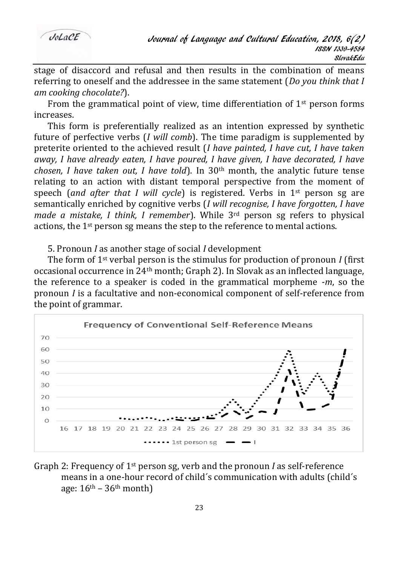

stage of disaccord and refusal and then results in the combination of means referring to oneself and the addressee in the same statement (*Do you think that I am cooking chocolate?*).

From the grammatical point of view, time differentiation of  $1<sup>st</sup>$  person forms increases.

This form is preferentially realized as an intention expressed by synthetic future of perfective verbs (*I will comb*). The time paradigm is supplemented by preterite oriented to the achieved result (*I have painted, I have cut, I have taken away, I have already eaten, I have poured, I have given, I have decorated, I have chosen, I have taken out, I have told*). In 30th month, the analytic future tense relating to an action with distant temporal perspective from the moment of speech (*and after that I will cycle*) is registered. Verbs in  $1<sup>st</sup>$  person sg are semantically enriched by cognitive verbs (*I will recognise, I have forgotten, I have made a mistake, I think, I remember*). While 3rd person sg refers to physical actions, the 1st person sg means the step to the reference to mental actions.

5. Pronoun *I* as another stage of social *I* development

The form of 1st verbal person is the stimulus for production of pronoun *I* (first occasional occurrence in 24th month; Graph 2). In Slovak as an inflected language, the reference to a speaker is coded in the grammatical morpheme -*m*, so the pronoun *I* is a facultative and non-economical component of self-reference from the point of grammar.



Graph 2: Frequency of 1st person sg, verb and the pronoun *I* as self-reference means in a one-hour record of child´s communication with adults (child´s age:  $16<sup>th</sup> - 36<sup>th</sup>$  month)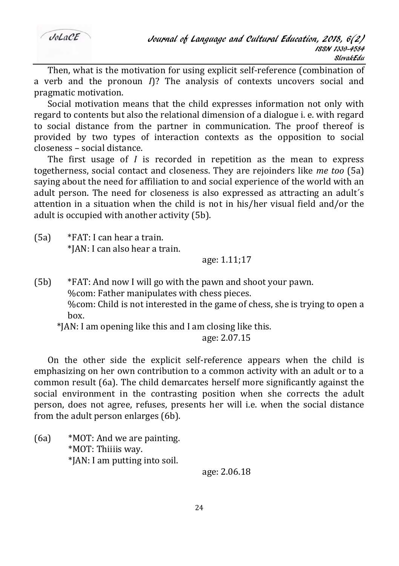Then, what is the motivation for using explicit self-reference (combination of a verb and the pronoun *I*)? The analysis of contexts uncovers social and pragmatic motivation.

Social motivation means that the child expresses information not only with regard to contents but also the relational dimension of a dialogue i. e. with regard to social distance from the partner in communication. The proof thereof is provided by two types of interaction contexts as the opposition to social closeness – social distance.

The first usage of *I* is recorded in repetition as the mean to express togetherness, social contact and closeness. They are rejoinders like *me too* (5a) saying about the need for affiliation to and social experience of the world with an adult person. The need for closeness is also expressed as attracting an adult´s attention in a situation when the child is not in his/her visual field and/or the adult is occupied with another activity (5b).

(5a) \*FAT: I can hear a train. \*JAN: I can also hear a train.

## age: 1.11;17

- (5b) \*FAT: And now I will go with the pawn and shoot your pawn. %com: Father manipulates with chess pieces. %com: Child is not interested in the game of chess, she is trying to open a box.
	- \*JAN: I am opening like this and I am closing like this.

### age: 2.07.15

On the other side the explicit self-reference appears when the child is emphasizing on her own contribution to a common activity with an adult or to a common result (6a). The child demarcates herself more significantly against the social environment in the contrasting position when she corrects the adult person, does not agree, refuses, presents her will i.e. when the social distance from the adult person enlarges (6b).

(6a) \*MOT: And we are painting. \*MOT: Thiiiis way. \*JAN: I am putting into soil.

age: 2.06.18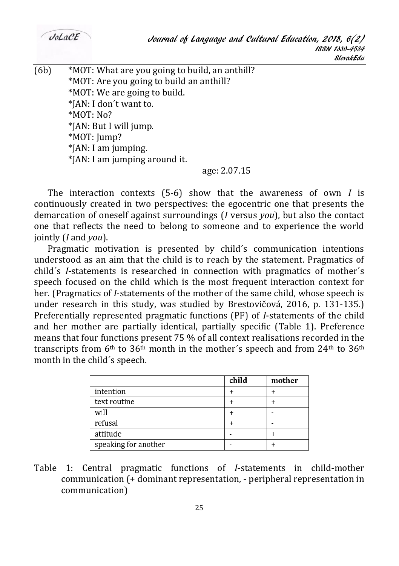$(6b)$  \*MOT: What are you going to build, an anthill? \*MOT: Are you going to build an anthill? \*MOT: We are going to build. \*JAN: I don´t want to. \*MOT: No? \*JAN: But I will jump. \*MOT: Jump? \*JAN: I am jumping. \*JAN: I am jumping around it. age: 2.07.15

The interaction contexts (5-6) show that the awareness of own *I* is continuously created in two perspectives: the egocentric one that presents the demarcation of oneself against surroundings (*I* versus *you*), but also the contact one that reflects the need to belong to someone and to experience the world jointly (*I* and *you*).

Pragmatic motivation is presented by child´s communication intentions understood as an aim that the child is to reach by the statement. Pragmatics of child´s *I*-statements is researched in connection with pragmatics of mother´s speech focused on the child which is the most frequent interaction context for her. (Pragmatics of *I*-statements of the mother of the same child, whose speech is under research in this study, was studied by Brestovičová, 2016, p. 131-135.) Preferentially represented pragmatic functions (PF) of *I*-statements of the child and her mother are partially identical, partially specific (Table 1). Preference means that four functions present 75 % of all context realisations recorded in the transcripts from  $6<sup>th</sup>$  to  $36<sup>th</sup>$  month in the mother's speech and from  $24<sup>th</sup>$  to  $36<sup>th</sup>$ month in the child´s speech.

|                      | child | mother |
|----------------------|-------|--------|
| intention            |       |        |
| text routine         |       |        |
| will                 |       |        |
| refusal              |       |        |
| attitude             |       |        |
| speaking for another |       |        |

Table 1: Central pragmatic functions of *I*-statements in child-mother communication (+ dominant representation, - peripheral representation in communication)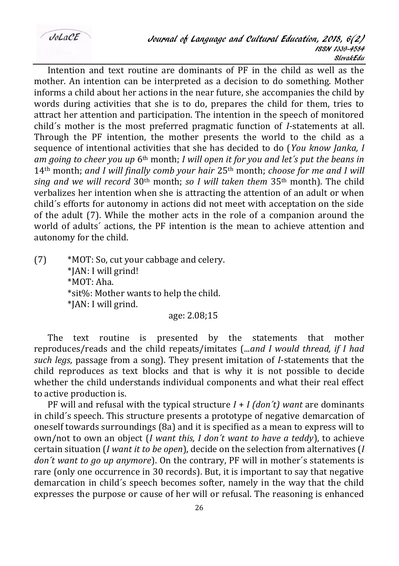$Jol. aCE$ 

Intention and text routine are dominants of PF in the child as well as the mother. An intention can be interpreted as a decision to do something. Mother informs a child about her actions in the near future, she accompanies the child by words during activities that she is to do, prepares the child for them, tries to attract her attention and participation. The intention in the speech of monitored child´s mother is the most preferred pragmatic function of *I*-statements at all. Through the PF intention, the mother presents the world to the child as a sequence of intentional activities that she has decided to do (*You know Janka, I am going to cheer you up* 6th month; *I will open it for you and let´s put the beans in*  14th month; *and I will finally comb your hair* 25th month; *choose for me and I will sing and we will record* 30th month; *so I will taken them* 35th month). The child verbalizes her intention when she is attracting the attention of an adult or when child´s efforts for autonomy in actions did not meet with acceptation on the side of the adult (7). While the mother acts in the role of a companion around the world of adults´ actions, the PF intention is the mean to achieve attention and autonomy for the child.

(7) \*MOT: So, cut your cabbage and celery. \*JAN: I will grind! \*MOT: Aha. \*sit%: Mother wants to help the child. \*JAN: I will grind.

age: 2.08;15

The text routine is presented by the statements that mother reproduces/reads and the child repeats/imitates (...*and I would thread, if I had such legs*, passage from a song). They present imitation of *I*-statements that the child reproduces as text blocks and that is why it is not possible to decide whether the child understands individual components and what their real effect to active production is.

PF will and refusal with the typical structure *I* + *I (don´t) want* are dominants in child´s speech. This structure presents a prototype of negative demarcation of oneself towards surroundings (8a) and it is specified as a mean to express will to own/not to own an object (*I want this, I don´t want to have a teddy*), to achieve certain situation (*I want it to be open*), decide on the selection from alternatives (*I don´t want to go up anymore*). On the contrary, PF will in mother´s statements is rare (only one occurrence in 30 records). But, it is important to say that negative demarcation in child´s speech becomes softer, namely in the way that the child expresses the purpose or cause of her will or refusal. The reasoning is enhanced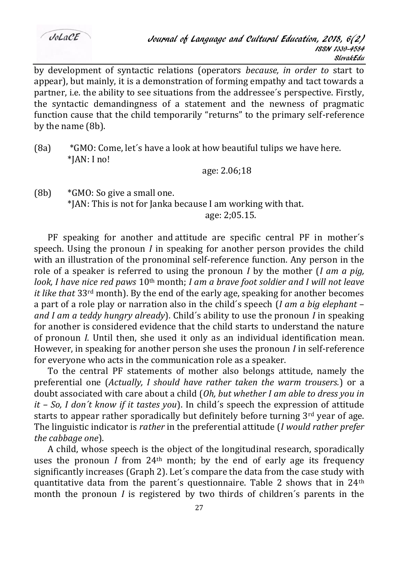$Jol. aCE$ 

by development of syntactic relations (operators *because, in order to* start to appear), but mainly, it is a demonstration of forming empathy and tact towards a partner, i.e. the ability to see situations from the addressee´s perspective. Firstly, the syntactic demandingness of a statement and the newness of pragmatic function cause that the child temporarily "returns" to the primary self-reference by the name (8b).

(8a)  $*GMO:$  Come, let's have a look at how beautiful tulips we have here. \*JAN: I no!

age: 2.06;18

 $(8b)$  \*GMO: So give a small one. \*JAN: This is not for Janka because I am working with that. age: 2;05.15.

PF speaking for another and attitude are specific central PF in mother´s speech. Using the pronoun *I* in speaking for another person provides the child with an illustration of the pronominal self-reference function. Any person in the role of a speaker is referred to using the pronoun *I* by the mother (*I am a pig, look, I have nice red paws* 10th month; *I am a brave foot soldier and I will not leave it like that* 33rd month). By the end of the early age, speaking for another becomes a part of a role play or narration also in the child´s speech (*I am a big elephant* – *and I am a teddy hungry already*). Child´s ability to use the pronoun *I* in speaking for another is considered evidence that the child starts to understand the nature of pronoun *I.* Until then, she used it only as an individual identification mean. However, in speaking for another person she uses the pronoun *I* in self-reference for everyone who acts in the communication role as a speaker.

To the central PF statements of mother also belongs attitude, namely the preferential one (*Actually, I should have rather taken the warm trousers.*) or a doubt associated with care about a child (*Oh, but whether I am able to dress you in it – So, I don´t know if it tastes you*). In child´s speech the expression of attitude starts to appear rather sporadically but definitely before turning  $3<sup>rd</sup>$  year of age. The linguistic indicator is *rather* in the preferential attitude (*I would rather prefer the cabbage one*).

A child, whose speech is the object of the longitudinal research, sporadically uses the pronoun *I* from 24th month; by the end of early age its frequency significantly increases (Graph 2). Let´s compare the data from the case study with quantitative data from the parent's questionnaire. Table 2 shows that in  $24<sup>th</sup>$ month the pronoun *I* is registered by two thirds of children´s parents in the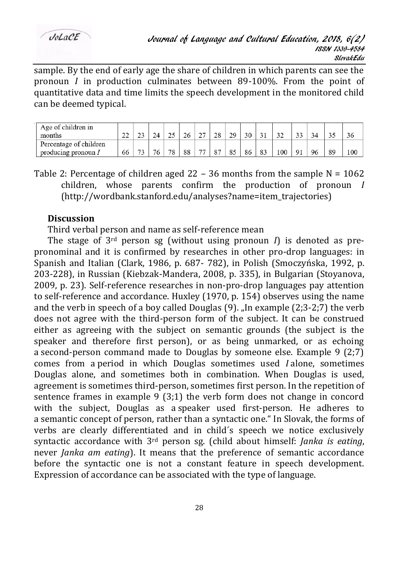sample. By the end of early age the share of children in which parents can see the pronoun *I* in production culminates between 89-100%. From the point of quantitative data and time limits the speech development in the monitored child can be deemed typical.

| Age of children in<br>months | $\sim$<br><u>_</u> |                       |  | ΖC | $\sim$<br><u>_</u> | ി | 29 | 30 |               | ◡   | $\sim$<br><u>. .</u> |    |    | 36  |
|------------------------------|--------------------|-----------------------|--|----|--------------------|---|----|----|---------------|-----|----------------------|----|----|-----|
| Percentage of children       |                    | $-1$                  |  |    | $- -$              |   |    |    |               |     |                      |    |    |     |
| producing pronoun /          | 66                 | $\tilde{\phantom{a}}$ |  | 88 |                    |   |    | 86 | $\circ$<br>89 | 100 | Q <sub>1</sub>       | 96 | 89 | 100 |

Table 2: Percentage of children aged  $22 - 36$  months from the sample N = 1062 children, whose parents confirm the production of pronoun *I* (http://wordbank.stanford.edu/analyses?name=item\_trajectories)

### **Discussion**

Third verbal person and name as self-reference mean

The stage of  $3<sup>rd</sup>$  person sg (without using pronoun *I*) is denoted as prepronominal and it is confirmed by researches in other pro-drop languages: in Spanish and Italian (Clark, 1986, p. 687- 782), in Polish (Smoczyńska, 1992, p. 203-228), in Russian (Kiebzak-Mandera, 2008, p. 335), in Bulgarian (Stoyanova, 2009, p. 23). Self-reference researches in non-pro-drop languages pay attention to self-reference and accordance. Huxley (1970, p. 154) observes using the name and the verb in speech of a boy called Douglas  $(9)$ . In example  $(2,3-2,7)$  the verb does not agree with the third-person form of the subject. It can be construed either as agreeing with the subject on semantic grounds (the subject is the speaker and therefore first person), or as being unmarked, or as echoing a second-person command made to Douglas by someone else. Example 9 (2;7) comes from a period in which Douglas sometimes used *I* alone, sometimes Douglas alone, and sometimes both in combination. When Douglas is used, agreement is sometimes third-person, sometimes first person. In the repetition of sentence frames in example  $9(3;1)$  the verb form does not change in concord with the subject, Douglas as a speaker used first-person. He adheres to a semantic concept of person, rather than a syntactic one." In Slovak, the forms of verbs are clearly differentiated and in child´s speech we notice exclusively syntactic accordance with 3rd person sg. (child about himself: *Janka is eating*, never *Janka am eating*). It means that the preference of semantic accordance before the syntactic one is not a constant feature in speech development. Expression of accordance can be associated with the type of language.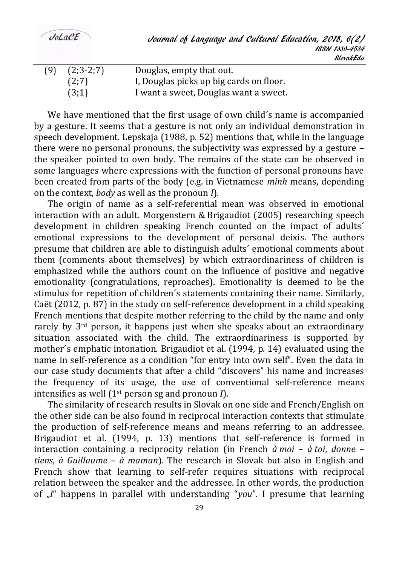$Jol.$ a $C$ E

| (9) | $(2;3-2;7)$ | Douglas, empty that out.                |
|-----|-------------|-----------------------------------------|
|     | (2;7)       | I, Douglas picks up big cards on floor. |
|     | (3;1)       | I want a sweet, Douglas want a sweet.   |

We have mentioned that the first usage of own child´s name is accompanied by a gesture. It seems that a gesture is not only an individual demonstration in speech development. Lepskaja (1988, p. 52) mentions that, while in the language there were no personal pronouns, the subjectivity was expressed by a gesture – the speaker pointed to own body. The remains of the state can be observed in some languages where expressions with the function of personal pronouns have been created from parts of the body (e.g. in Vietnamese *mình* means, depending on the context, *body* as well as the pronoun *I*)*.*

The origin of name as a self-referential mean was observed in emotional interaction with an adult. Morgenstern & Brigaudiot (2005) researching speech development in children speaking French counted on the impact of adults´ emotional expressions to the development of personal deixis. The authors presume that children are able to distinguish adults´ emotional comments about them (comments about themselves) by which extraordinariness of children is emphasized while the authors count on the influence of positive and negative emotionality (congratulations, reproaches). Emotionality is deemed to be the stimulus for repetition of children´s statements containing their name. Similarly, Caët (2012, p. 87) in the study on self-reference development in a child speaking French mentions that despite mother referring to the child by the name and only rarely by 3<sup>rd</sup> person, it happens just when she speaks about an extraordinary situation associated with the child. The extraordinariness is supported by mother´s emphatic intonation. Brigaudiot et al. (1994, p. 14) evaluated using the name in self-reference as a condition "for entry into own self". Even the data in our case study documents that after a child "discovers" his name and increases the frequency of its usage, the use of conventional self-reference means intensifies as well (1st person sg and pronoun *I*).

The similarity of research results in Slovak on one side and French/English on the other side can be also found in reciprocal interaction contexts that stimulate the production of self-reference means and means referring to an addressee. Brigaudiot et al. (1994, p. 13) mentions that self-reference is formed in interaction containing a reciprocity relation (in French *à moi* – *à toi*, *donne* – *tiens*, *à Guillaume* – *à maman*). The research in Slovak but also in English and French show that learning to self-refer requires situations with reciprocal relation between the speaker and the addressee. In other words, the production of  $\mathcal{J}$ <sup>"</sup> happens in parallel with understanding "*you*". I presume that learning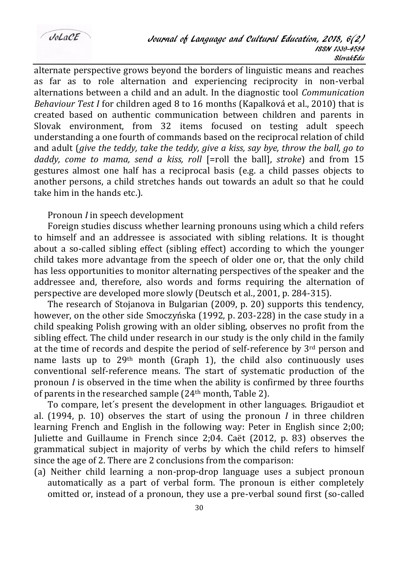alternate perspective grows beyond the borders of linguistic means and reaches as far as to role alternation and experiencing reciprocity in non-verbal alternations between a child and an adult. In the diagnostic tool *Communication Behaviour Test I* for children aged 8 to 16 months (Kapalková et al., 2010) that is created based on authentic communication between children and parents in Slovak environment, from 32 items focused on testing adult speech understanding a one fourth of commands based on the reciprocal relation of child and adult (*give the teddy, take the teddy, give a kiss, say bye, throw the ball, go to daddy, come to mama, send a kiss, roll* [=roll the ball], *stroke*) and from 15 gestures almost one half has a reciprocal basis (e.g. a child passes objects to another persons, a child stretches hands out towards an adult so that he could take him in the hands etc.).

Pronoun *I* in speech development

Foreign studies discuss whether learning pronouns using which a child refers to himself and an addressee is associated with sibling relations. It is thought about a so-called sibling effect (sibling effect) according to which the younger child takes more advantage from the speech of older one or, that the only child has less opportunities to monitor alternating perspectives of the speaker and the addressee and, therefore, also words and forms requiring the alternation of perspective are developed more slowly (Deutsch et al., 2001, p. 284-315).

The research of Stojanova in Bulgarian (2009, p. 20) supports this tendency, however, on the other side Smoczyńska (1992, p. 203-228) in the case study in a child speaking Polish growing with an older sibling, observes no profit from the sibling effect. The child under research in our study is the only child in the family at the time of records and despite the period of self-reference by  $3<sup>rd</sup>$  person and name lasts up to 29<sup>th</sup> month (Graph 1), the child also continuously uses conventional self-reference means. The start of systematic production of the pronoun *I* is observed in the time when the ability is confirmed by three fourths of parents in the researched sample (24th month, Table 2).

To compare, let´s present the development in other languages. Brigaudiot et al. (1994, p. 10) observes the start of using the pronoun *I* in three children learning French and English in the following way: Peter in English since 2;00; Juliette and Guillaume in French since 2;04. Caët (2012, p. 83) observes the grammatical subject in majority of verbs by which the child refers to himself since the age of 2. There are 2 conclusions from the comparison:

(a) Neither child learning a non-prop-drop language uses a subject pronoun automatically as a part of verbal form. The pronoun is either completely omitted or, instead of a pronoun, they use a pre-verbal sound first (so-called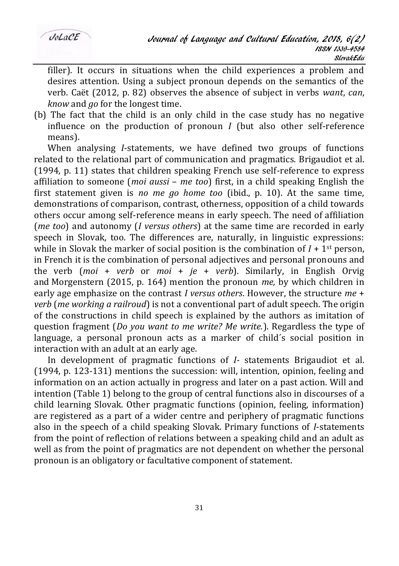filler). It occurs in situations when the child experiences a problem and desires attention. Using a subject pronoun depends on the semantics of the verb. Caët (2012, p. 82) observes the absence of subject in verbs *want*, *can*, *know* and *go* for the longest time.

(b) The fact that the child is an only child in the case study has no negative influence on the production of pronoun *I* (but also other self-reference means).

When analysing *I*-statements, we have defined two groups of functions related to the relational part of communication and pragmatics. Brigaudiot et al. (1994, p. 11) states that children speaking French use self-reference to express affiliation to someone (*moi aussi* – *me too*) first, in a child speaking English the first statement given is *no me go home too* (ibid., p. 10). At the same time, demonstrations of comparison, contrast, otherness, opposition of a child towards others occur among self-reference means in early speech. The need of affiliation (*me too*) and autonomy (*I versus others*) at the same time are recorded in early speech in Slovak, too. The differences are, naturally, in linguistic expressions: while in Slovak the marker of social position is the combination of  $I + 1$ <sup>st</sup> person, in French it is the combination of personal adjectives and personal pronouns and the verb (*moi* + *verb* or *moi* + *je* + *verb*). Similarly, in English Orvig and Morgenstern (2015, p. 164) mention the pronoun *me,* by which children in early age emphasize on the contrast *I versus others*. However, the structure *me* + *verb* (*me working a railroud*) is not a conventional part of adult speech. The origin of the constructions in child speech is explained by the authors as imitation of question fragment (*Do you want to me write? Me write.*). Regardless the type of language, a personal pronoun acts as a marker of child´s social position in interaction with an adult at an early age.

In development of pragmatic functions of *I-* statements Brigaudiot et al. (1994, p. 123-131) mentions the succession: will, intention, opinion, feeling and information on an action actually in progress and later on a past action. Will and intention (Table 1) belong to the group of central functions also in discourses of a child learning Slovak. Other pragmatic functions (opinion, feeling, information) are registered as a part of a wider centre and periphery of pragmatic functions also in the speech of a child speaking Slovak. Primary functions of *I*-statements from the point of reflection of relations between a speaking child and an adult as well as from the point of pragmatics are not dependent on whether the personal pronoun is an obligatory or facultative component of statement.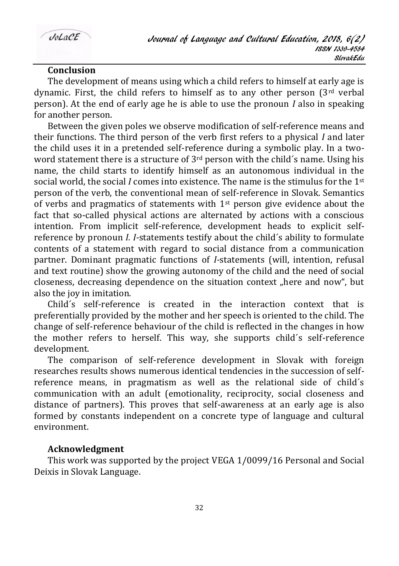## **Conclusion**

The development of means using which a child refers to himself at early age is dynamic. First, the child refers to himself as to any other person  $3<sup>rd</sup>$  verbal person). At the end of early age he is able to use the pronoun *I* also in speaking for another person.

Between the given poles we observe modification of self-reference means and their functions. The third person of the verb first refers to a physical *I* and later the child uses it in a pretended self-reference during a symbolic play. In a twoword statement there is a structure of  $3<sup>rd</sup>$  person with the child's name. Using his name, the child starts to identify himself as an autonomous individual in the social world, the social *I* comes into existence. The name is the stimulus for the 1st person of the verb, the conventional mean of self-reference in Slovak. Semantics of verbs and pragmatics of statements with  $1<sup>st</sup>$  person give evidence about the fact that so-called physical actions are alternated by actions with a conscious intention. From implicit self-reference, development heads to explicit selfreference by pronoun *I. I-*statements testify about the child´s ability to formulate contents of a statement with regard to social distance from a communication partner. Dominant pragmatic functions of *I-*statements (will, intention, refusal and text routine) show the growing autonomy of the child and the need of social closeness, decreasing dependence on the situation context "here and now", but also the joy in imitation.

Child´s self-reference is created in the interaction context that is preferentially provided by the mother and her speech is oriented to the child. The change of self-reference behaviour of the child is reflected in the changes in how the mother refers to herself. This way, she supports child´s self-reference development.

The comparison of self-reference development in Slovak with foreign researches results shows numerous identical tendencies in the succession of selfreference means, in pragmatism as well as the relational side of child´s communication with an adult (emotionality, reciprocity, social closeness and distance of partners). This proves that self-awareness at an early age is also formed by constants independent on a concrete type of language and cultural environment.

### **Acknowledgment**

This work was supported by the project VEGA 1/0099/16 Personal and Social Deixis in Slovak Language.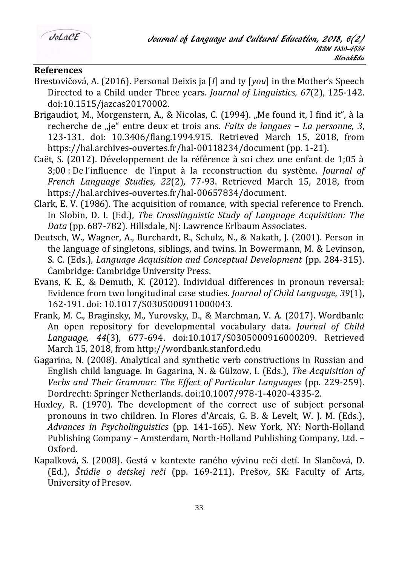

## **References**

- Brestovičová, A. (2016). Personal Deixis ja [*I*] and ty [*you*] in the Mother's Speech Directed to a Child under Three years. *Journal of Linguistics, 67*(2), 125-142. doi:10.1515/jazcas20170002.
- Brigaudiot, M., Morgenstern, A., & Nicolas, C. (1994). "Me found it, I find it", à la recherche de "je" entre deux et trois ans. *Faits de langues – La personne, 3*, 123-131. doi: 10.3406/flang.1994.915. Retrieved March 15, 2018, from https://hal.archives-ouvertes.fr/hal-00118234/document (pp. 1-21).
- Caët, S. (2012). Développement de la référence à soi chez une enfant de 1;05 à 3;00 : De l'influence de l'input à la reconstruction du système. *Journal of French Language Studies, 22*(2), 77-93. Retrieved March 15, 2018, from https://hal.archives-ouvertes.fr/hal-00657834/document.
- Clark, E. V. (1986). The acquisition of romance, with special reference to French. In Slobin, D. I. (Ed.), *The Crosslinguistic Study of Language Acquisition: The Data* (pp. 687-782). Hillsdale, NJ: Lawrence Erlbaum Associates.
- Deutsch, W., Wagner, A., Burchardt, R., Schulz, N., & Nakath, J. (2001). Person in the language of singletons, siblings, and twins. In Bowermann, M. & Levinson, S. C. (Eds.), *Language Acquisition and Conceptual Development* (pp. 284-315). Cambridge: Cambridge University Press.
- Evans, K. E., & Demuth, K. (2012). Individual differences in pronoun reversal: Evidence from two longitudinal case studies. *Journal of Child Language, 39*(1), 162-191. doi: 10.1017/S0305000911000043.
- Frank, M. C., Braginsky, M., Yurovsky, D., & Marchman, V. A. (2017). Wordbank: An open repository for developmental vocabulary data. *Journal of Child Language, 44*(3), 677-694. doi:10.1017/S0305000916000209. Retrieved March 15, 2018, from http://wordbank.stanford.edu
- Gagarina, N. (2008). Analytical and synthetic verb constructions in Russian and English child language. In Gagarina, N. & Gülzow, I. (Eds.), *The Acquisition of Verbs and Their Grammar: The Effect of Particular Languages* (pp. 229-259). Dordrecht: Springer Netherlands. doi:10.1007/978-1-4020-4335-2.
- Huxley, R. (1970). The development of the correct use of subject personal pronouns in two children. In Flores d'Arcais, G. B. & Levelt, W. J. M. (Eds.), *Advances in Psycholinguistics* (pp. 141-165). New York, NY: North-Holland Publishing Company – Amsterdam, North-Holland Publishing Company, Ltd. – Oxford.
- Kapalková, S. (2008). Gestá v kontexte raného vývinu reči detí. In Slančová, D. (Ed.), *Štúdie o detskej reči* (pp. 169-211). Prešov, SK: Faculty of Arts, University of Presov.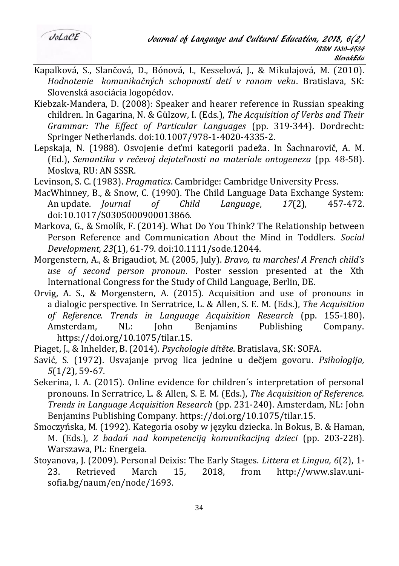- Kapalková, S., Slančová, D., Bónová, I., Kesselová, J., & Mikulajová, M. (2010). *Hodnotenie komunikačných schopností detí v ranom veku*. Bratislava, SK: Slovenská asociácia logopédov.
- Kiebzak-Mandera, D. (2008): Speaker and hearer reference in Russian speaking children. In Gagarina, N. & Gülzow, I. (Eds.), *The Acquisition of Verbs and Their Grammar: The Effect of Particular Languages* (pp. 319-344). Dordrecht: Springer Netherlands. doi:10.1007/978-1-4020-4335-2.
- Lepskaja, N. (1988). Osvojenie deťmi kategorii padeža. In Šachnarovič, A. M. (Ed.), *Semantika v rečevoj dejateľnosti na materiale ontogeneza* (pp*.* 48-58). Moskva, RU: AN SSSR.
- Levinson, S. C. (1983). *Pragmatics*. Cambridge: Cambridge University Press.
- MacWhinney, B., & Snow, C. (1990). The Child Language Data Exchange System: An update. *Journal of Child Language*, *17*(2), 457-472. doi:10.1017/S0305000900013866.
- Markova, G., & Smolík, F. (2014). What Do You Think? The Relationship between Person Reference and Communication About the Mind in Toddlers. *Social Development, 23*(1), 61-79. doi:10.1111/sode.12044.
- Morgenstern, A., & Brigaudiot, M. (2005, July). *Bravo, tu marches! A French child's use of second person pronoun*. Poster session presented at the Xth International Congress for the Study of Child Language, Berlin, DE.
- Orvig, A. S., & Morgenstern, A. (2015). Acquisition and use of pronouns in a dialogic perspective. In Serratrice, L. & Allen, S. E. M. (Eds.), *The Acquisition of Reference. Trends in Language Acquisition Research* (pp. 155-180). Amsterdam, NL: John Benjamins Publishing Company. https://doi.org/10.1075/tilar.15.
- Piaget, J., & Inhelder, B. (2014). *Psychologie dítěte*. Bratislava, SK: SOFA.
- Savić, S. (1972). Usvajanje prvog lica jednine u dečjem govoru. *Psihologija, 5*(1/2), 59-67.
- Sekerina, I. A. (2015). Online evidence for children´s interpretation of personal pronouns. In Serratrice, L. & Allen, S. E. M. (Eds.), *The Acquisition of Reference. Trends in Language Acquisition Research* (pp. 231-240). Amsterdam, NL: John Benjamins Publishing Company. https://doi.org/10.1075/tilar.15.
- Smoczyńska, M. (1992). Kategoria osoby w języku dziecka. In Bokus, B. & Haman, M. (Eds.), *Z badań nad kompetenciją komunikacijną dzieci* (pp. 203-228)*.* Warszawa, PL: Energeia.
- Stoyanova, J. (2009). Personal Deixis: The Early Stages. *Littera et Lingua, 6*(2), 1- 23. Retrieved March 15, 2018, from http://www.slav.unisofia.bg/naum/en/node/1693.